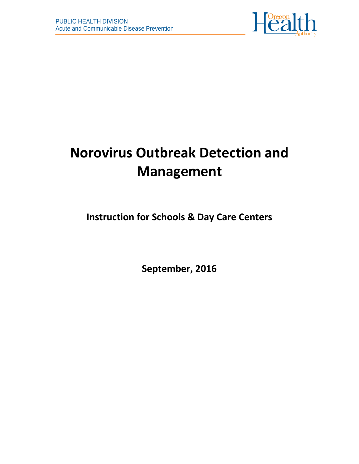

# **Norovirus Outbreak Detection and Management**

**Instruction for Schools & Day Care Centers**

**September, 2016**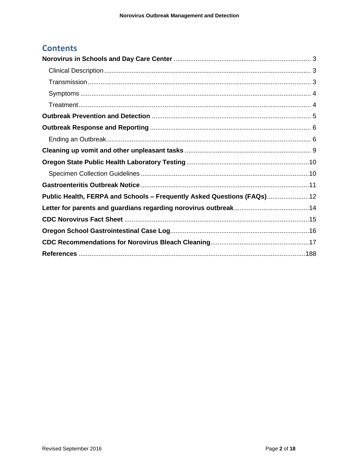# **Contents**

| Public Health, FERPA and Schools - Frequently Asked Questions (FAQs) 12 |  |
|-------------------------------------------------------------------------|--|
|                                                                         |  |
|                                                                         |  |
|                                                                         |  |
|                                                                         |  |
|                                                                         |  |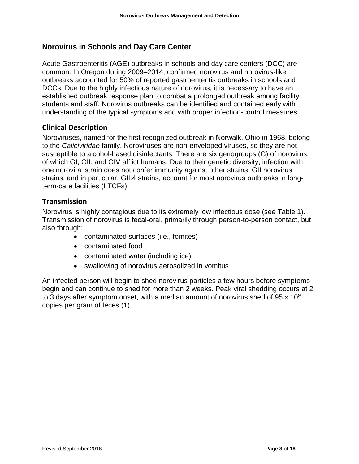# <span id="page-2-0"></span>**Norovirus in Schools and Day Care Center**

Acute Gastroenteritis (AGE) outbreaks in schools and day care centers (DCC) are common. In Oregon during 2009–2014, confirmed norovirus and norovirus-like outbreaks accounted for 50% of reported gastroenteritis outbreaks in schools and DCCs. Due to the highly infectious nature of norovirus, it is necessary to have an established outbreak response plan to combat a prolonged outbreak among facility students and staff. Norovirus outbreaks can be identified and contained early with understanding of the typical symptoms and with proper infection-control measures.

#### <span id="page-2-1"></span>**Clinical Description**

Noroviruses, named for the first-recognized outbreak in Norwalk, Ohio in 1968, belong to the *Caliciviridae* family. Noroviruses are non-enveloped viruses, so they are not susceptible to alcohol-based disinfectants. There are six genogroups (G) of norovirus, of which GI, GII, and GIV afflict humans. Due to their genetic diversity, infection with one noroviral strain does not confer immunity against other strains. GII norovirus strains, and in particular, GII.4 strains, account for most norovirus outbreaks in longterm-care facilities (LTCFs).

#### <span id="page-2-2"></span>**Transmission**

Norovirus is highly contagious due to its extremely low infectious dose (see Table 1). Transmission of norovirus is fecal-oral, primarily through person-to-person contact, but also through:

- contaminated surfaces (i.e., fomites)
- contaminated food
- contaminated water (including ice)
- swallowing of norovirus aerosolized in vomitus

An infected person will begin to shed norovirus particles a few hours before symptoms begin and can continue to shed for more than 2 weeks. Peak viral shedding occurs at 2 to 3 days after symptom onset, with a median amount of norovirus shed of  $95 \times 10^9$ copies per gram of feces (1).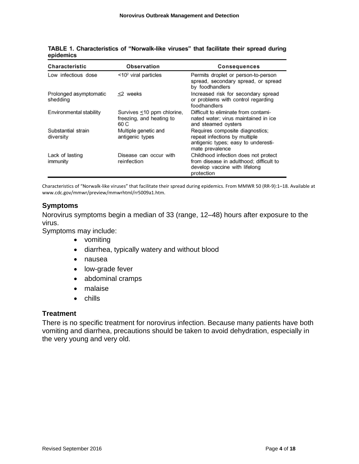| Characteristic                     | Observation                                                    | <b>Consequences</b>                                                                                                            |
|------------------------------------|----------------------------------------------------------------|--------------------------------------------------------------------------------------------------------------------------------|
| Low infectious dose                | $\leq 10^2$ viral particles                                    | Permits droplet or person-to-person<br>spread, secondary spread, or spread<br>by foodhandlers                                  |
| Prolonged asymptomatic<br>shedding | <2 weeks                                                       | Increased risk for secondary spread<br>or problems with control regarding<br>foodhandlers                                      |
| Environmental stability            | Survives ≤10 ppm chlorine,<br>freezing, and heating to<br>60 C | Difficult to eliminate from contami-<br>nated water: virus maintained in ice<br>and steamed oysters                            |
| Substantial strain<br>diversity    | Multiple genetic and<br>antigenic types                        | Requires composite diagnostics;<br>repeat infections by multiple<br>antigenic types; easy to underesti-<br>mate prevalence     |
| Lack of lasting<br>immunity        | Disease can occur with<br>reinfection                          | Childhood infection does not protect<br>from disease in adulthood: difficult to<br>develop vaccine with lifelong<br>protection |

TABLE 1. Characteristics of "Norwalk-like viruses" that facilitate their spread during epidemics

Characteristics of "Norwalk-like viruses" that facilitate their spread during epidemics. From MMWR 50 (RR-9):1–18. Available at www.cdc.gov/mmwr/preview/mmwrhtml/rr5009a1.htm.

#### <span id="page-3-0"></span>**Symptoms**

Norovirus symptoms begin a median of 33 (range, 12–48) hours after exposure to the virus.

Symptoms may include:

- vomiting
- diarrhea, typically watery and without blood
- nausea
- low-grade fever
- abdominal cramps
- malaise
- chills

#### <span id="page-3-1"></span>**Treatment**

There is no specific treatment for norovirus infection. Because many patients have both vomiting and diarrhea, precautions should be taken to avoid dehydration, especially in the very young and very old.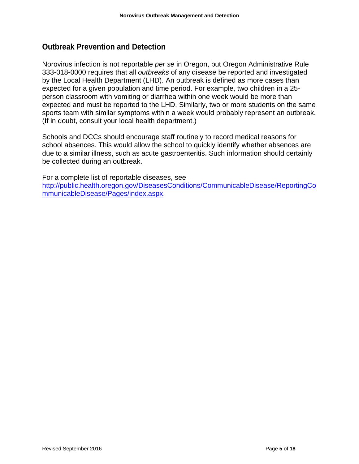#### <span id="page-4-0"></span>**Outbreak Prevention and Detection**

Norovirus infection is not reportable *per se* in Oregon, but Oregon Administrative Rule 333-018-0000 requires that all *outbreaks* of any disease be reported and investigated by the Local Health Department (LHD). An outbreak is defined as more cases than expected for a given population and time period. For example, two children in a 25 person classroom with vomiting or diarrhea within one week would be more than expected and must be reported to the LHD. Similarly, two or more students on the same sports team with similar symptoms within a week would probably represent an outbreak. (If in doubt, consult your local health department.)

Schools and DCCs should encourage staff routinely to record medical reasons for school absences. This would allow the school to quickly identify whether absences are due to a similar illness, such as acute gastroenteritis. Such information should certainly be collected during an outbreak.

For a complete list of reportable diseases, see [http://public.health.oregon.gov/DiseasesConditions/CommunicableDisease/ReportingCo](http://public.health.oregon.gov/DiseasesConditions/CommunicableDisease/ReportingCommunicableDisease/Pages/index.aspx) [mmunicableDisease/Pages/index.aspx.](http://public.health.oregon.gov/DiseasesConditions/CommunicableDisease/ReportingCommunicableDisease/Pages/index.aspx)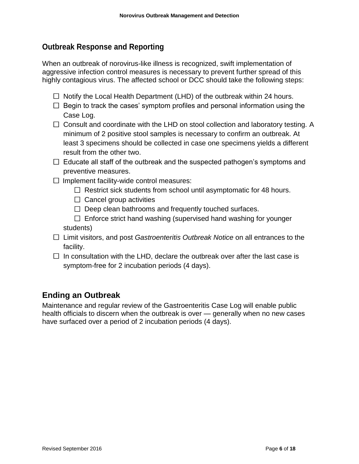## <span id="page-5-0"></span>**Outbreak Response and Reporting**

When an outbreak of norovirus-like illness is recognized, swift implementation of aggressive infection control measures is necessary to prevent further spread of this highly contagious virus. The affected school or DCC should take the following steps:

- $\Box$  Notify the Local Health Department (LHD) of the outbreak within 24 hours.
- $\Box$  Begin to track the cases' symptom profiles and personal information using the Case Log.
- $\Box$  Consult and coordinate with the LHD on stool collection and laboratory testing. A minimum of 2 positive stool samples is necessary to confirm an outbreak. At least 3 specimens should be collected in case one specimens yields a different result from the other two.
- $\Box$  Educate all staff of the outbreak and the suspected pathogen's symptoms and preventive measures.
- $\Box$  Implement facility-wide control measures:
	- $\Box$  Restrict sick students from school until asymptomatic for 48 hours.
	- $\Box$  Cancel group activities
	- $\Box$  Deep clean bathrooms and frequently touched surfaces.
	- $\Box$  Enforce strict hand washing (supervised hand washing for younger students)
- Limit visitors, and post *Gastroenteritis Outbreak Notice* on all entrances to the facility.
- $\Box$  In consultation with the LHD, declare the outbreak over after the last case is symptom-free for 2 incubation periods (4 days).

# <span id="page-5-1"></span>**Ending an Outbreak**

Maintenance and regular review of the Gastroenteritis Case Log will enable public health officials to discern when the outbreak is over — generally when no new cases have surfaced over a period of 2 incubation periods (4 days).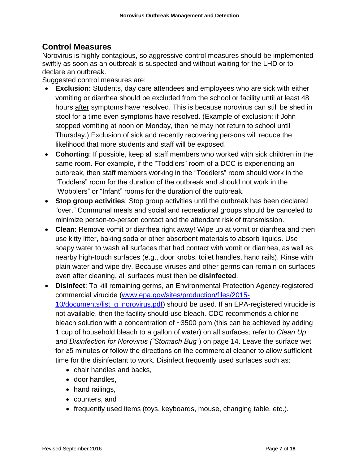#### **Control Measures**

Norovirus is highly contagious, so aggressive control measures should be implemented swiftly as soon as an outbreak is suspected and without waiting for the LHD or to declare an outbreak.

Suggested control measures are:

- **Exclusion:** Students, day care attendees and employees who are sick with either vomiting or diarrhea should be excluded from the school or facility until at least 48 hours after symptoms have resolved. This is because norovirus can still be shed in stool for a time even symptoms have resolved. (Example of exclusion: if John stopped vomiting at noon on Monday, then he may not return to school until Thursday.) Exclusion of sick and recently recovering persons will reduce the likelihood that more students and staff will be exposed.
- **Cohorting**: If possible, keep all staff members who worked with sick children in the same room. For example, if the "Toddlers" room of a DCC is experiencing an outbreak, then staff members working in the "Toddlers" room should work in the "Toddlers" room for the duration of the outbreak and should not work in the "Wobblers" or "Infant" rooms for the duration of the outbreak.
- **Stop group activities**: Stop group activities until the outbreak has been declared "over." Communal meals and social and recreational groups should be canceled to minimize person-to-person contact and the attendant risk of transmission.
- **Clean**: Remove vomit or diarrhea right away! Wipe up at vomit or diarrhea and then use kitty litter, baking soda or other absorbent materials to absorb liquids. Use soapy water to wash all surfaces that had contact with vomit or diarrhea, as well as nearby high-touch surfaces (e.g., door knobs, toilet handles, hand rails). Rinse with plain water and wipe dry. Because viruses and other germs can remain on surfaces even after cleaning, all surfaces must then be **disinfected**.
- **Disinfect**: To kill remaining germs, an Environmental Protection Agency-registered commercial virucide [\(www.epa.gov/sites/production/files/2015-](http://www.epa.gov/sites/production/files/2015-10/documents/list_g_norovirus.pdf) [10/documents/list\\_g\\_norovirus.pdf\)](http://www.epa.gov/sites/production/files/2015-10/documents/list_g_norovirus.pdf) should be used. If an EPA-registered virucide is not available, then the facility should use bleach. CDC recommends a chlorine bleach solution with a concentration of ~3500 ppm (this can be achieved by adding 1 cup of household bleach to a gallon of water) on all surfaces; refer to *Clean Up and Disinfection for Norovirus ("Stomach Bug"*) on page 14. Leave the surface wet for ≥5 minutes or follow the directions on the commercial cleaner to allow sufficient time for the disinfectant to work. Disinfect frequently used surfaces such as:
	- chair handles and backs.
	- door handles,
	- hand railings,
	- counters, and
	- frequently used items (toys, keyboards, mouse, changing table, etc.).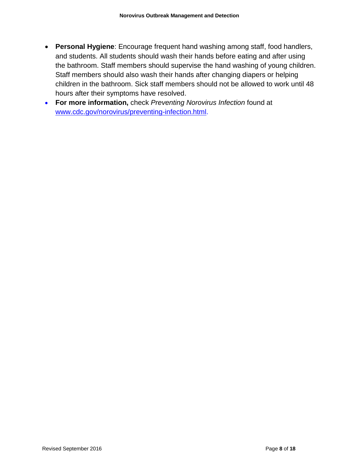- **Personal Hygiene**: Encourage frequent hand washing among staff, food handlers, and students. All students should wash their hands before eating and after using the bathroom. Staff members should supervise the hand washing of young children. Staff members should also wash their hands after changing diapers or helping children in the bathroom. Sick staff members should not be allowed to work until 48 hours after their symptoms have resolved.
- **For more information,** check *Preventing Norovirus Infection* found at [www.cdc.gov/norovirus/preventing-infection.html.](http://www.cdc.gov/norovirus/preventing-infection.html)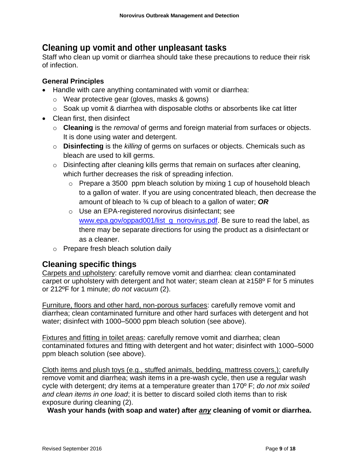# <span id="page-8-0"></span>**Cleaning up vomit and other unpleasant tasks**

Staff who clean up vomit or diarrhea should take these precautions to reduce their risk of infection.

#### **General Principles**

- Handle with care anything contaminated with vomit or diarrhea:
	- o Wear protective gear (gloves, masks & gowns)
	- o Soak up vomit & diarrhea with disposable cloths or absorbents like cat litter
- Clean first, then disinfect
	- o **Cleaning** is the *removal* of germs and foreign material from surfaces or objects. It is done using water and detergent.
	- o **Disinfecting** is the *killing* of germs on surfaces or objects. Chemicals such as bleach are used to kill germs.
	- $\circ$  Disinfecting after cleaning kills germs that remain on surfaces after cleaning, which further decreases the risk of spreading infection.
		- o Prepare a 3500 ppm bleach solution by mixing 1 cup of household bleach to a gallon of water. If you are using concentrated bleach, then decrease the amount of bleach to ¾ cup of bleach to a gallon of water; *OR*
		- o Use an EPA-registered norovirus disinfectant; see [www.epa.gov/oppad001/list\\_g\\_norovirus.pdf.](file:///C:/Users/OR0206944/AppData/Local/Microsoft/Windows/Temporary%20Internet%20Files/Content.Outlook/X1KMNQE2/www.epa.gov/oppad001/list_g_norovirus.pdf) Be sure to read the label, as there may be separate directions for using the product as a disinfectant or as a cleaner.
	- o Prepare fresh bleach solution daily

# **Cleaning specific things**

Carpets and upholstery: carefully remove vomit and diarrhea: clean contaminated carpet or upholstery with detergent and hot water; steam clean at ≥158º F for 5 minutes or 212ºF for 1 minute; *do not vacuum* (2).

Furniture, floors and other hard, non-porous surfaces: carefully remove vomit and diarrhea; clean contaminated furniture and other hard surfaces with detergent and hot water; disinfect with 1000–5000 ppm bleach solution (see above).

Fixtures and fitting in toilet areas: carefully remove vomit and diarrhea; clean contaminated fixtures and fitting with detergent and hot water; disinfect with 1000–5000 ppm bleach solution (see above).

Cloth items and plush toys (e.g., stuffed animals, bedding, mattress covers,): carefully remove vomit and diarrhea; wash items in a pre-wash cycle, then use a regular wash cycle with detergent; dry items at a temperature greater than 170º F; *do not mix soiled and clean items in one load*; it is better to discard soiled cloth items than to risk exposure during cleaning (2).

**Wash your hands (with soap and water) after** *any* **cleaning of vomit or diarrhea.**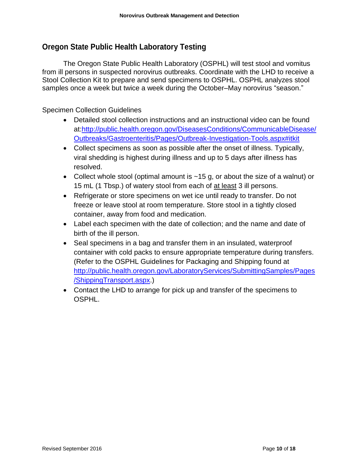### <span id="page-9-0"></span>**Oregon State Public Health Laboratory Testing**

The Oregon State Public Health Laboratory (OSPHL) will test stool and vomitus from ill persons in suspected norovirus outbreaks. Coordinate with the LHD to receive a Stool Collection Kit to prepare and send specimens to OSPHL. OSPHL analyzes stool samples once a week but twice a week during the October–May norovirus "season."

#### <span id="page-9-1"></span>Specimen Collection Guidelines

- Detailed stool collection instructions and an instructional video can be found at[:http://public.health.oregon.gov/DiseasesConditions/CommunicableDisease/](http://public.health.oregon.gov/DiseasesConditions/CommunicableDisease/Outbreaks/Gastroenteritis/Pages/Outbreak-Investigation-Tools.aspx#itkit) [Outbreaks/Gastroenteritis/Pages/Outbreak-Investigation-Tools.aspx#itkit](http://public.health.oregon.gov/DiseasesConditions/CommunicableDisease/Outbreaks/Gastroenteritis/Pages/Outbreak-Investigation-Tools.aspx#itkit)
- Collect specimens as soon as possible after the onset of illness. Typically, viral shedding is highest during illness and up to 5 days after illness has resolved.
- Collect whole stool (optimal amount is  $\sim$ 15 g, or about the size of a walnut) or 15 mL (1 Tbsp.) of watery stool from each of at least 3 ill persons.
- Refrigerate or store specimens on wet ice until ready to transfer. Do not freeze or leave stool at room temperature. Store stool in a tightly closed container, away from food and medication.
- Label each specimen with the date of collection; and the name and date of birth of the ill person.
- Seal specimens in a bag and transfer them in an insulated, waterproof container with cold packs to ensure appropriate temperature during transfers. (Refer to the OSPHL Guidelines for Packaging and Shipping found at [http://public.health.oregon.gov/LaboratoryServices/SubmittingSamples/Pages](http://public.health.oregon.gov/LaboratoryServices/SubmittingSamples/Pages/ShippingTransport.aspx) [/ShippingTransport.aspx.](http://public.health.oregon.gov/LaboratoryServices/SubmittingSamples/Pages/ShippingTransport.aspx))
- Contact the LHD to arrange for pick up and transfer of the specimens to OSPHL.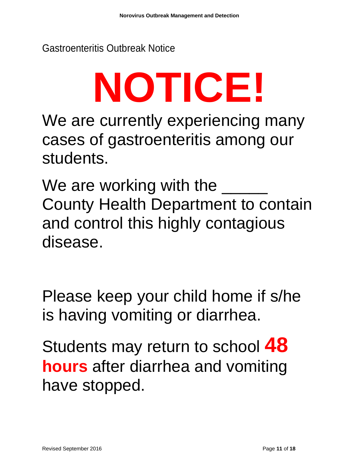<span id="page-10-0"></span>Gastroenteritis Outbreak Notice

# **NOTICE!**

We are currently experiencing many cases of gastroenteritis among our students.

We are working with the  $\_\_$ County Health Department to contain and control this highly contagious disease.

Please keep your child home if s/he is having vomiting or diarrhea.

Students may return to school **48 hours** after diarrhea and vomiting have stopped.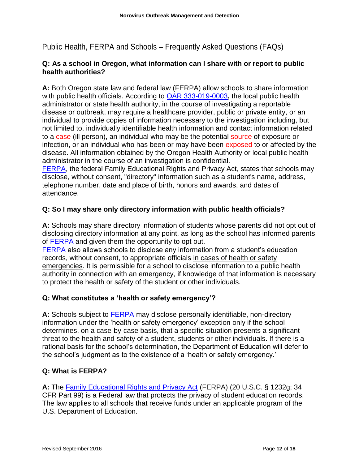<span id="page-11-0"></span>Public Health, FERPA and Schools – Frequently Asked Questions (FAQs)

#### **Q: As a school in Oregon, what information can I share with or report to public health authorities?**

**A:** Both Oregon state law and federal law (FERPA) allow schools to share information with public health officials. According to [OAR 333-019-0003](http://arcweb.sos.state.or.us/pages/rules/oars_300/oar_333/333_019.html)**,** the local public health administrator or state health authority, in the course of investigating a reportable disease or outbreak, may require a healthcare provider, public or private entity, or an individual to provide copies of information necessary to the investigation including, but not limited to, individually identifiable health information and contact information related to a case (ill person), an individual who may be the potential source of exposure or infection, or an individual who has been or may have been exposed to or affected by the disease. All information obtained by the Oregon Health Authority or local public health administrator in the course of an investigation is confidential.

[FERPA,](http://www2.ed.gov/policy/gen/guid/fpco/ferpa/index.html) the federal Family Educational Rights and Privacy Act, states that schools may disclose, without consent, "directory" information such as a student's name, address, telephone number, date and place of birth, honors and awards, and dates of attendance.

#### **Q: So I may share only directory information with public health officials?**

**A:** Schools may share directory information of students whose parents did not opt out of disclosing directory information at any point, as long as the school has informed parents of [FERPA](http://www2.ed.gov/policy/gen/guid/fpco/ferpa/index.html) and given them the opportunity to opt out.

[FERPA](http://www2.ed.gov/policy/gen/guid/fpco/ferpa/index.html) also allows schools to disclose any information from a student's education records, without consent, to appropriate officials in cases of health or safety emergencies. It is permissible for a school to disclose information to a public health authority in connection with an emergency, if knowledge of that information is necessary to protect the health or safety of the student or other individuals.

#### **Q: What constitutes a 'health or safety emergency'?**

A: Schools subject to **FERPA** may disclose personally identifiable, non-directory information under the 'health or safety emergency' exception only if the school determines, on a case-by-case basis, that a specific situation presents a significant threat to the health and safety of a student, students or other individuals. If there is a rational basis for the school's determination, the Department of Education will defer to the school's judgment as to the existence of a 'health or safety emergency.'

#### **Q: What is FERPA?**

**A:** The [Family Educational Rights and Privacy Act](http://www2.ed.gov/policy/gen/guid/fpco/ferpa/index.html) (FERPA) (20 U.S.C. § 1232g; 34 CFR Part 99) is a Federal law that protects the privacy of student education records. The law applies to all schools that receive funds under an applicable program of the U.S. Department of Education.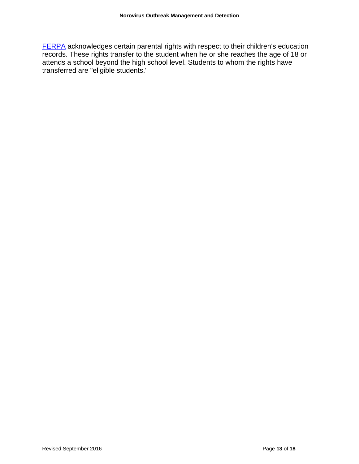[FERPA](http://www2.ed.gov/policy/gen/guid/fpco/ferpa/index.html) acknowledges certain parental rights with respect to their children's education records. These rights transfer to the student when he or she reaches the age of 18 or attends a school beyond the high school level. Students to whom the rights have transferred are "eligible students."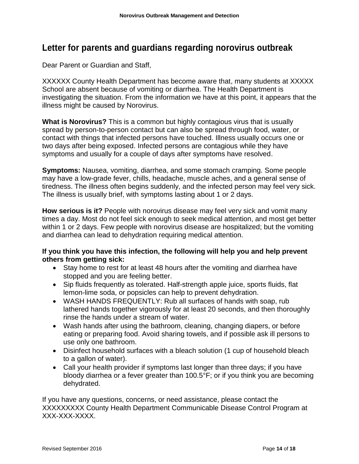# <span id="page-13-0"></span>**Letter for parents and guardians regarding norovirus outbreak**

Dear Parent or Guardian and Staff,

XXXXXX County Health Department has become aware that, many students at XXXXX School are absent because of vomiting or diarrhea. The Health Department is investigating the situation. From the information we have at this point, it appears that the illness might be caused by Norovirus.

**What is Norovirus?** This is a common but highly contagious virus that is usually spread by person-to-person contact but can also be spread through food, water, or contact with things that infected persons have touched. Illness usually occurs one or two days after being exposed. Infected persons are contagious while they have symptoms and usually for a couple of days after symptoms have resolved.

**Symptoms:** Nausea, vomiting, diarrhea, and some stomach cramping. Some people may have a low-grade fever, chills, headache, muscle aches, and a general sense of tiredness. The illness often begins suddenly, and the infected person may feel very sick. The illness is usually brief, with symptoms lasting about 1 or 2 days.

**How serious is it?** People with norovirus disease may feel very sick and vomit many times a day. Most do not feel sick enough to seek medical attention, and most get better within 1 or 2 days. Few people with norovirus disease are hospitalized; but the vomiting and diarrhea can lead to dehydration requiring medical attention.

#### **If you think you have this infection, the following will help you and help prevent others from getting sick:**

- Stay home to rest for at least 48 hours after the vomiting and diarrhea have stopped and you are feeling better.
- Sip fluids frequently as tolerated. Half-strength apple juice, sports fluids, flat lemon-lime soda, or popsicles can help to prevent dehydration.
- WASH HANDS FREQUENTLY: Rub all surfaces of hands with soap, rub lathered hands together vigorously for at least 20 seconds, and then thoroughly rinse the hands under a stream of water.
- Wash hands after using the bathroom, cleaning, changing diapers, or before eating or preparing food. Avoid sharing towels, and if possible ask ill persons to use only one bathroom.
- Disinfect household surfaces with a bleach solution (1 cup of household bleach to a gallon of water).
- Call your health provider if symptoms last longer than three days; if you have bloody diarrhea or a fever greater than 100.5°F; or if you think you are becoming dehydrated.

If you have any questions, concerns, or need assistance, please contact the XXXXXXXXX County Health Department Communicable Disease Control Program at XXX-XXX-XXXX.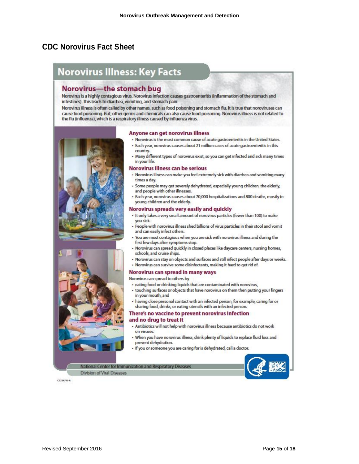# <span id="page-14-0"></span>**CDC Norovirus Fact Sheet**

# **Norovirus Illness: Key Facts**

#### Norovirus—the stomach bug

Norovirus is a highly contagious virus. Norovirus infection causes gastroenteritis (inflammation of the stomach and intestines). This leads to diarrhea, vorniting, and stomach pain.

Norovirus illness is often called by other names, such as food poisoning and stomach flu. It is true that noroviruses can cause food poisoning. But, other germs and chemicals can also cause food poisoning. Norovirus illness is not related to the flu (influenza), which is a respiratory illness caused by influenza virus.





Division of Viral Diseases

#### Anyone can get norovirus illness

- . Norovirus is the most common cause of acute gastroenteritis in the United States.
- · Each year, norovirus causes about 21 million cases of acute gastroenteritis in this country
- . Many different types of norovirus exist, so you can get infected and sick many times in your life.

#### **Norovirus Illness can be serious**

- Norovirus illness can make you feel extremely sick with diarrhea and vomiting many times a day.
- · Some people may get severely dehydrated, especially young children, the elderly, and people with other illnesses.
- · Each year, norovirus causes about 70,000 hospitalizations and 800 deaths, mostly in young children and the elderly.

#### Norovirus spreads very easily and quickly

- . It only takes a very small amount of norovirus particles (fewer than 100) to make you sick.
- · People with norovirus illness shed billions of virus particles in their stool and vomit and can easily infect others.
- You are most contagious when you are sick with norovirus illness and during the first few days after symptoms stop.
- Norovirus can spread quickly in closed places like daycare centers, nursing homes, schools, and cruise ships.
- · Norovirus can stay on objects and surfaces and still infect people after days or weeks.
- . Norovirus can survive some disinfectants, making it hard to get rid of.

#### Norovirus can spread in many ways

Norovirus can spread to others by-

National Center for Immunization and Respiratory Diseases

- · eating food or drinking liquids that are contaminated with norovirus,
- . touching surfaces or objects that have norovirus on them then putting your fingers in your mouth, and
- . having close personal contact with an infected person, for example, caring for or sharing food, drinks, or eating utensils with an infected person.

#### There's no vaccine to prevent norovirus infection and no drug to treat it

#### . Antibiotics will not help with norovirus illness because antibiotics do not work on viruses.

- . When you have norovirus illness, drink plenty of liquids to replace fluid loss and prevent dehydration.
- . If you or someone you are caring for is dehydrated, call a doctor.



CS234745-A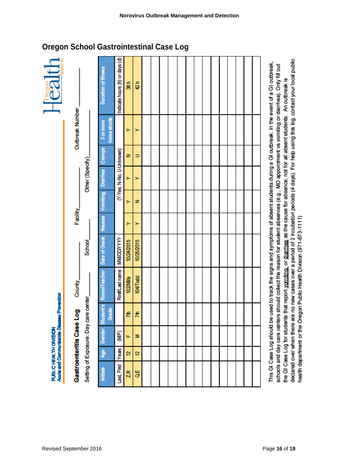| Outbreak Number:<br>Facility    |                                      | Duration of illness                                                  | Indicate hours (h) or days (d) | 38 h       | 42 h          |  |  |  |  |  |  |  |
|---------------------------------|--------------------------------------|----------------------------------------------------------------------|--------------------------------|------------|---------------|--|--|--|--|--|--|--|
|                                 | Other (Specify).                     | loose stools<br>3 or more                                            | (Y-Yes; N-No; U-Unknown)       |            | ≻             |  |  |  |  |  |  |  |
|                                 |                                      |                                                                      |                                | z          | $\Rightarrow$ |  |  |  |  |  |  |  |
|                                 |                                      |                                                                      |                                |            | ≻             |  |  |  |  |  |  |  |
|                                 |                                      |                                                                      |                                | ≻          | z             |  |  |  |  |  |  |  |
|                                 |                                      |                                                                      |                                | ≻          | ≻             |  |  |  |  |  |  |  |
|                                 | School                               |                                                                      | <b>MWDDYYYY</b>                | 10/24/2015 | 10/25/2015    |  |  |  |  |  |  |  |
| County_                         |                                      | tudent's Room/Teacher Date of Onset Nausea Vorniting Diarrhea Cramps | Rm#/Lastname                   | 102/Mills  | 104/Todd      |  |  |  |  |  |  |  |
| وم<br>2<br>Gastroenteritis Case | Setting of Exposure: Day care center | Grade<br>ö                                                           |                                | 7th        | $\frac{1}{2}$ |  |  |  |  |  |  |  |
|                                 |                                      | Gender                                                               | (NVF                           | u.         | z             |  |  |  |  |  |  |  |
|                                 |                                      | Age                                                                  | Years                          | t,         | 2             |  |  |  |  |  |  |  |
|                                 |                                      | hitials                                                              | Last, First                    | $Z$ R      | ď             |  |  |  |  |  |  |  |

declared over when there are no new cases over a period of 2 incubation periods (4 days). For help using this log, contact your local public This GI Case Log should be used to track the signs and symptoms of absent students during a GI outbreak. In the event of a GI outbreak, schools and day care centers should collect the reason for student absences (e.g., MD appointment vs vomiting or diarrhea). Only fill out the GI Case Log for students that report vomiting or diarrhea as the cause for absence, not for all absent students. An outbreak is health department or the Oregon Public Health Division (971-673-1111)

<span id="page-15-0"></span>**Oregon School Gastrointestinal Case Log**

Agrie and Communicable Disease Prevention

**PUBLIC HEALTH DIVISION**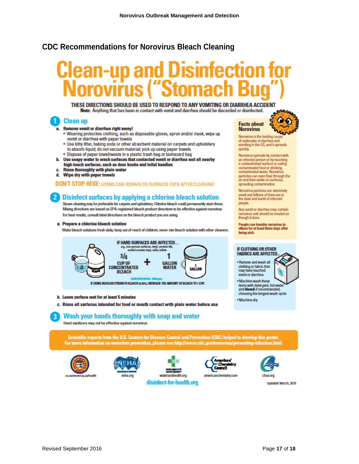#### <span id="page-16-0"></span>**CDC Recommendations for Norovirus Bleach Cleaning**

# **Uisintection for**

THESE DIRECTIONS SHOULD BE USED TO RESPOND TO ANY VOMITING OR DIARRHEA ACCIDENT Note: Anything that has been in contact with vomit and diarrhea should be discarded or disinfected.

#### **Clean up** 1 1

#### a. Remove vomit or diarrhea right away!

- . Wearing protective clothing, such as disposable gloves, apron and/or mask, wipe up vomit or diarrhea with paper towels
- . Use kitty litter, baking soda or other absorbent material on carpets and upholstery to absorb liquid; do not vacuum material: pick up using paper towels
- . Dispose of paper towel/waste in a plastic trash bag or biohazard bag
- b. Use soapy water to wash surfaces that contacted vomit or diarrhea and all nearby high-touch surfaces, such as door knobs and toilet handles
- **Rinse thoroughly with plain water**
- d. Wipe dry with paper towels

**DON'T STOP HERE: GERMS CAN REMAIN ON SURFACES EVEN AFTER CLEANING!** 

#### $\overline{2}$ Disinfect surfaces by applying a chlorine bleach solution

Steam cleaning may be preferable for carpets and upholstery. Chlorine bleach could permanently stain these. Mixing directions are based on EPA-registered bleach product directions to be effective against norovirus. For best results, consult label directions on the bleach product you are using.

a. Prepare a chlorine bleach solution

Make bleach solutions fresh daily; keep out of reach of children; never mix bleach solution with other cleaners.



#### b. Leave surface wet for at least 5 minutes

c. Rinse all surfaces intended for food or mouth contact with plain water before use

#### Wash your hands thoroughly with soap and water

Hand sanitizers may not be effective against norovirus.

Scientific experts from the U.S. Centers for Disease Control and Prevention (CDC) helped to develop this poster. For more information on norovirus prevention, please see http://www.cdc.gov/norovirus/preventing-infection.html.











**Undated March, 2015** 



Norovirus is the leading car of outbreaks of diarrhea and vomiting in the US, and it spreads quickly.

Norovirus spreads by contact with an infected person or by touching a contaminated surface or eating contaminated food or drinking contaminated water. Norovirus particles can even float through the air and then settle on surfaces. spreading contamination.

Norovirus particles are extremely small and billions of them are in the stool and vomit of infected people.

Any vomit or diarrhea may contain norovirus and should be treated as though it does.

People can transfer norovirus to<br>others for at least three days after being sick.

#### **IF CLOTHING OR OTHER FABRICS ARE AFFECTED**

. Remove and wash all clothing or fabric that<br>may have touched vomit or diarrhea









. Machine wash these

items with detergent, hot wat<br>and bleach if recommended, choosing the longest wash cycle

. Machine dry